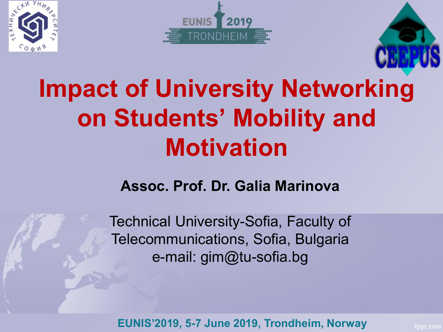





# **Impact of University Networ[king](https://www.ceepus.info/default.aspx)  on Students' Mobility and Motivation**

#### **Assoc. Prof. Dr. Galia Marinova**

Technical University-Sofia, Faculty of Telecommunications, Sofia, Bulgaria e-mail: gim@tu-sofia.bg

**EUNIS'2019, 5-7 June 2019, Trondheim, Norway**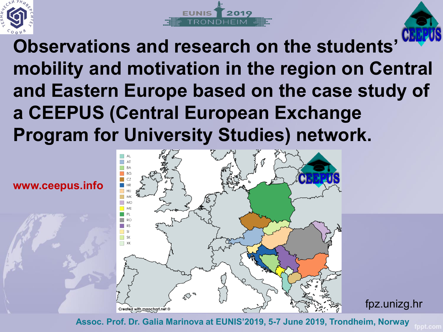





**Observations and research on the students' mobility and motivation in the region on Central and Eastern Europe based on the case study of a CEEPUS (Central European Exchange Program for University Studies) network.**





fpz.unizg.hr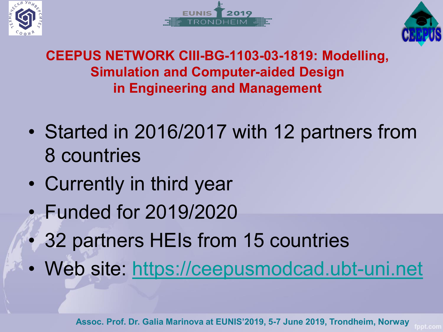





#### **CEEPUS NETWORK CIII-BG-1103-03-1819: Modelling, Simulation and Computer-aided Design in Engineering and Management**

- Started in 2016/2017 with 12 partners from 8 countries
- Currently in third year
- Funded for 2019/2020
- 32 partners HEIs from 15 countries
- Web site: [https://ceepusmodcad.ubt-uni.net](https://ceepusmodcad.ubt-uni.net/)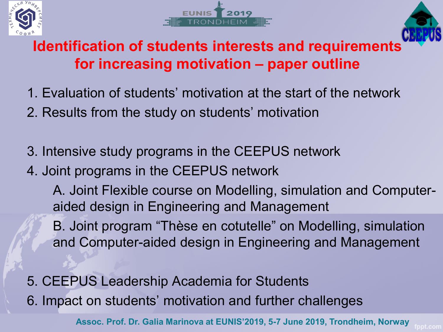





#### **Identification of students interests and requirement[s](https://www.ceepus.info/default.aspx) for increasing motivation – paper outline**

- 1. Evaluation of students' motivation at the start of the network
- 2. Results from the study on students' motivation
- 3. Intensive study programs in the CEEPUS network
- 4. Joint programs in the CEEPUS network

A. Joint Flexible course on Modelling, simulation and Computeraided design in Engineering and Management

B. Joint program "Thèse en cotutelle" on Modelling, simulation and Computer-aided design in Engineering and Management

5. CEEPUS Leadership Academia for Students 6. Impact on students' motivation and further challenges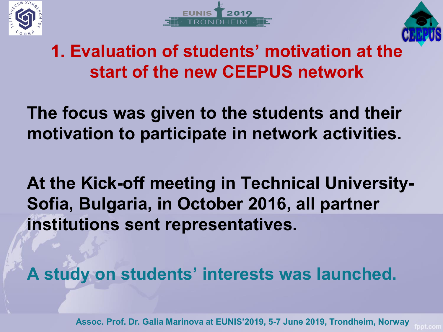





# **1. Evaluation of students' motivation at th[e](https://www.ceepus.info/default.aspx)  start of the new CEEPUS network**

**The focus was given to the students and their motivation to participate in network activities.** 

**At the Kick-off meeting in Technical University-Sofia, Bulgaria, in October 2016, all partner institutions sent representatives.** 

**A study on students' interests was launched.** 

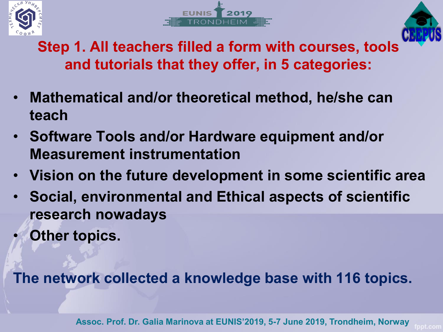





**Step 1. All teachers filled a form with courses, tools and tutorials that they offer, in 5 categories:**

- **Mathematical and/or theoretical method, he/she can teach**
- **Software Tools and/or Hardware equipment and/or Measurement instrumentation**
- **Vision on the future development in some scientific area**
- **Social, environmental and Ethical aspects of scientific research nowadays**
- **Other topics.**

**The network collected a knowledge base with 116 topics.**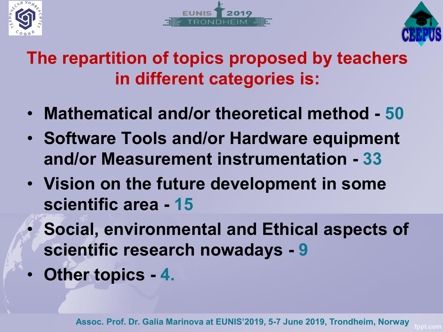





### **The repartition of topics proposed by teachers in different categories is:**

- **Mathematical and/or theoretical method - 50**
- **Software Tools and/or Hardware equipment and/or Measurement instrumentation - 33**
- **Vision on the future development in some scientific area - 15**
- **Social, environmental and Ethical aspects of scientific research nowadays - 9**
- **Other topics - 4.**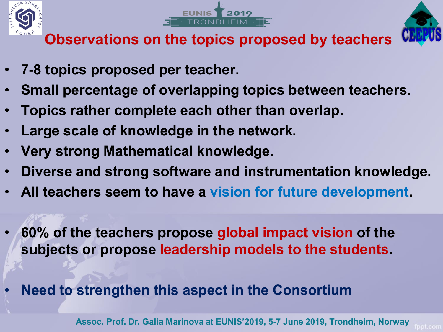





**Observations on the topics proposed by teachers**

- **7-8 topics proposed per teacher.**
- **Small percentage of overlapping topics between teachers.**
- **Topics rather complete each other than overlap.**
- **Large scale of knowledge in the network.**
- **Very strong Mathematical knowledge.**
- **Diverse and strong software and instrumentation knowledge.**
- **All teachers seem to have a vision for future development.**
- **60% of the teachers propose global impact vision of the subjects or propose leadership models to the students.**
- **Need to strengthen this aspect in the Consortium**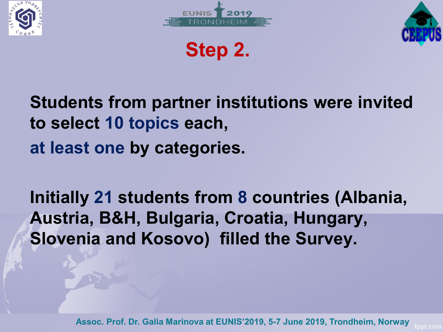





**Step 2.**

# **Students from partner institutions were invited to select 10 topics each, at least one by categories.**

**Initially 21 students from 8 countries (Albania, Austria, B&H, Bulgaria, Croatia, Hungary, Slovenia and Kosovo) filled the Survey.**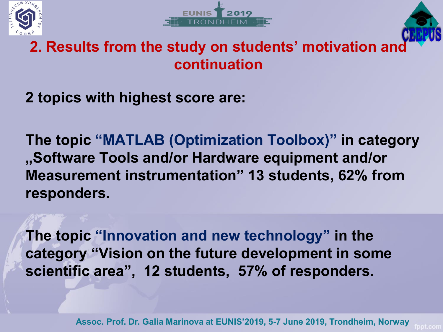





#### **2. Results from the study on students' motivation and continuation**

**2 topics with highest score are:**

**The topic "MATLAB (Optimization Toolbox)" in category "Software Tools and/or Hardware equipment and/or Measurement instrumentation" 13 students, 62% from responders.** 

**The topic "Innovation and new technology" in the category "Vision on the future development in some scientific area", 12 students, 57% of responders.**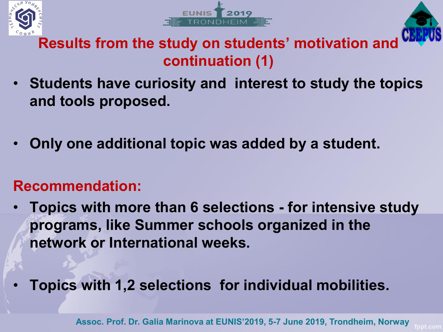





#### **Results from the study on students' motivation and continuation (1)**

- **Students have curiosity and interest to study the topics and tools proposed.**
- **Only one additional topic was added by a student.**

#### **Recommendation:**

- **Topics with more than 6 selections - for intensive study programs, like Summer schools organized in the network or International weeks.**
- **Topics with 1,2 selections for individual mobilities.**

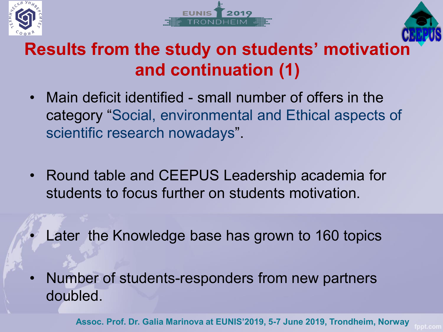





# **Results from the study on students' motivati[on](https://www.ceepus.info/default.aspx)  and continuation (1)**

- Main deficit identified small number of offers in the category "Social, environmental and Ethical aspects of scientific research nowadays".
- Round table and CEEPUS Leadership academia for students to focus further on students motivation.
	- Later the Knowledge base has grown to 160 topics
- Number of students-responders from new partners doubled.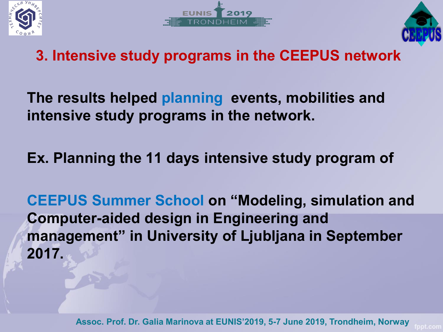





#### **3. Intensive study programs in the CEEPUS network**

**The results helped planning events, mobilities and intensive study programs in the network.**

**Ex. Planning the 11 days intensive study program of** 

**CEEPUS Summer School on "Modeling, simulation and Computer-aided design in Engineering and management" in University of Ljubljana in September 2017.**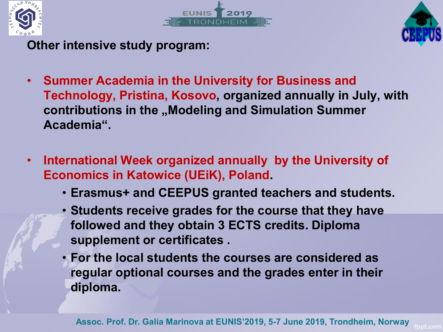





**Other intensive study program:**

- **Summer Academia in the University for Business and Technology, Pristina, Kosovo, organized annually in July, with**  contributions in the "Modeling and Simulation Summer **Academia".**
- **International Week organized annually by the University of Economics in Katowice (UEiK), Poland.** 
	- **Erasmus+ and CEEPUS granted teachers and students.**
	- **Students receive grades for the course that they have followed and they obtain 3 ECTS credits. Diploma supplement or certificates .**
	- **For the local students the courses are considered as regular optional courses and the grades enter in their diploma.**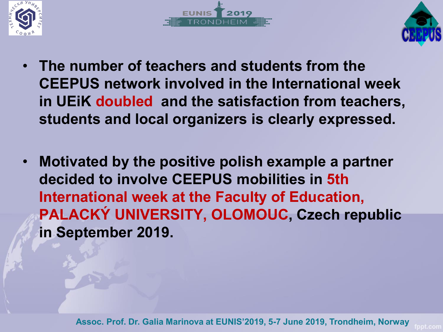





- **The number of teachers and students from the CEEPUS network involved in the International week in UEiK doubled and the satisfaction from teachers, students and local organizers is clearly expressed.**
- **Motivated by the positive polish example a partner decided to involve CEEPUS mobilities in 5th International week at the Faculty of Education, PALACKÝ UNIVERSITY, OLOMOUC, Czech republic in September 2019.**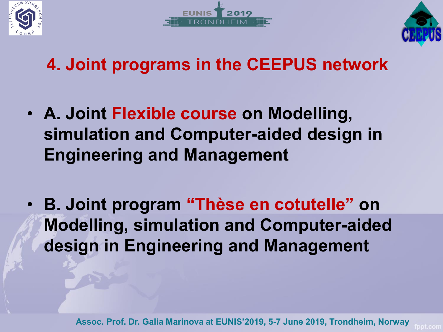





# **4. Joint programs in the CEEPUS network**

- **A. Joint Flexible course on Modelling, simulation and Computer-aided design in Engineering and Management**
- **B. Joint program "Thèse en cotutelle" on Modelling, simulation and Computer-aided design in Engineering and Management**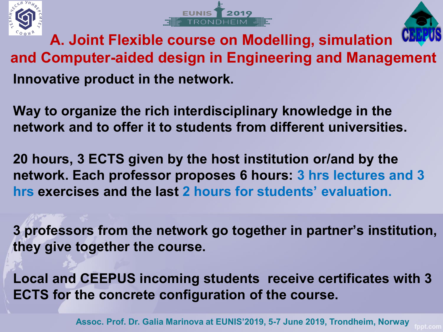





**A. Joint Flexible course on Modelling, simulation and Computer-aided design in Engineering and Management Innovative product in the network.**

**Way to organize the rich interdisciplinary knowledge in the network and to offer it to students from different universities.** 

**20 hours, 3 ECTS given by the host institution or/and by the network. Each professor proposes 6 hours: 3 hrs lectures and 3 hrs exercises and the last 2 hours for students' evaluation.**

**3 professors from the network go together in partner's institution, they give together the course.**

**Local and CEEPUS incoming students receive certificates with 3 ECTS for the concrete configuration of the course.**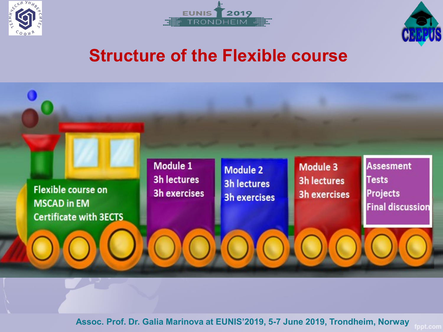





### **Structure of the Flexible course**

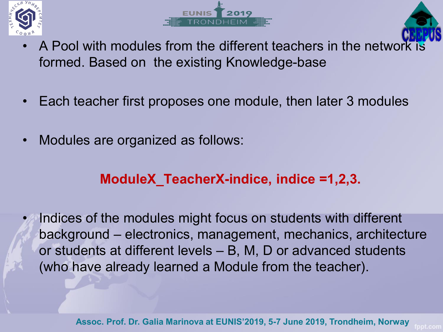





- A Pool with modules from the different teachers in the netw[ork is](https://www.ceepus.info/default.aspx)  formed. Based on the existing Knowledge-base
- Each teacher first proposes one module, then later 3 modules
- Modules are organized as follows:

#### **ModuleX\_TeacherX-indice, indice =1,2,3.**

Indices of the modules might focus on students with different background – electronics, management, mechanics, architecture or students at different levels – B, M, D or advanced students (who have already learned a Module from the teacher).

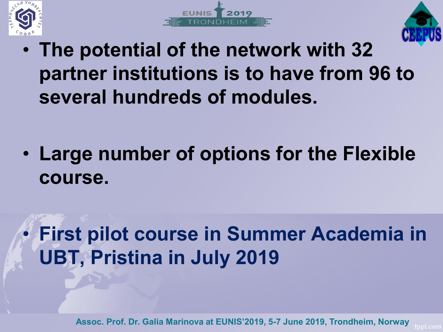





• **The potential of the network with 32 partner institutions is to have from 96 to several hundreds of modules.**

• **Large number of options for the Flexible course.** 

# • **First pilot course in Summer Academia in UBT, Pristina in July 2019**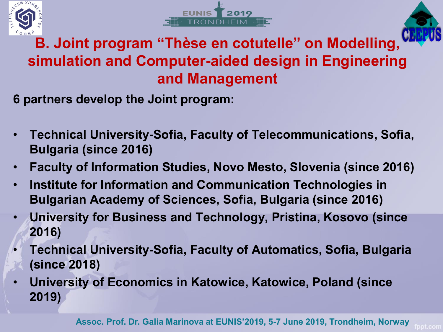





#### **B. Joint program "Thèse en cotutelle" on Modelling[,](https://www.ceepus.info/default.aspx)  simulation and Computer-aided design in Engineering and Management**

**6 partners develop the Joint program:**

- **Technical University-Sofia, Faculty of Telecommunications, Sofia, Bulgaria (since 2016)**
- **Faculty of Information Studies, Novo Mesto, Slovenia (since 2016)**
- **Institute for Information and Communication Technologies in Bulgarian Academy of Sciences, Sofia, Bulgaria (since 2016)**
- **University for Business and Technology, Pristina, Kosovo (since 2016)**
- **Technical University-Sofia, Faculty of Automatics, Sofia, Bulgaria (since 2018)**
- **University of Economics in Katowice, Katowice, Poland (since 2019)**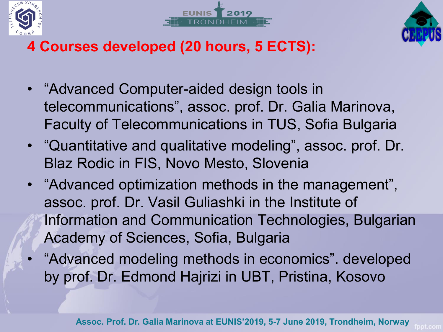





### **4 Courses developed (20 hours, 5 ECTS):**

- "Advanced Computer-aided design tools in telecommunications", assoc. prof. Dr. Galia Marinova, Faculty of Telecommunications in TUS, Sofia Bulgaria
- "Quantitative and qualitative modeling", assoc. prof. Dr. Blaz Rodic in FIS, Novo Mesto, Slovenia
- "Advanced optimization methods in the management", assoc. prof. Dr. Vasil Guliashki in the Institute of Information and Communication Technologies, Bulgarian Academy of Sciences, Sofia, Bulgaria
	- "Advanced modeling methods in economics". developed by prof. Dr. Edmond Hajrizi in UBT, Pristina, Kosovo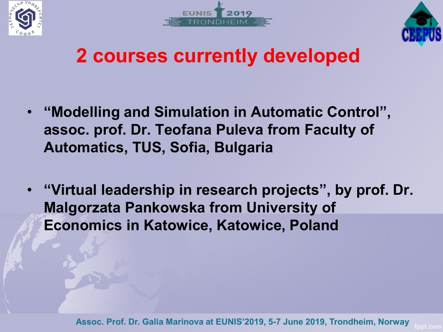





# **2 courses currently developed**

- **"Modelling and Simulation in Automatic Control", assoc. prof. Dr. Teofana Puleva from Faculty of Automatics, TUS, Sofia, Bulgaria**
- **"Virtual leadership in research projects", by prof. Dr. Malgorzata Pankowska from University of Economics in Katowice, Katowice, Poland**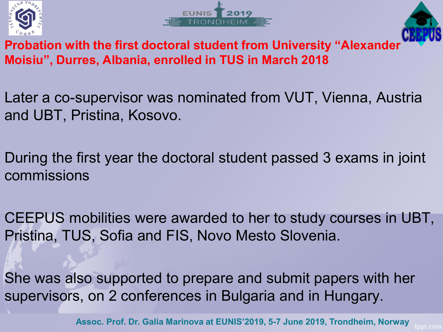





**Probation with the first doctoral student from University "Alexander Moisiu", Durres, Albania, enrolled in TUS in March 2018** 

- Later a co-supervisor was nominated from VUT, Vienna, Austria and UBT, Pristina, Kosovo.
- During the first year the doctoral student passed 3 exams in joint commissions
- CEEPUS mobilities were awarded to her to study courses in UBT, Pristina, TUS, Sofia and FIS, Novo Mesto Slovenia.
- She was also supported to prepare and submit papers with her supervisors, on 2 conferences in Bulgaria and in Hungary.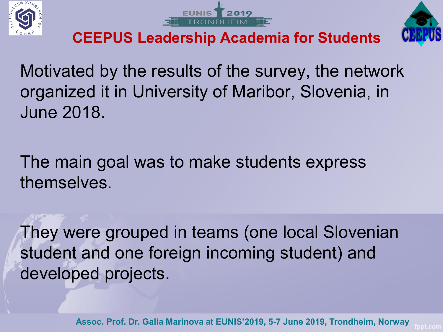





**CEEPUS Leadership Academia for Students** 

Motivated by the results of the survey, the network organized it in University of Maribor, Slovenia, in June 2018.

The main goal was to make students express themselves.

They were grouped in teams (one local Slovenian student and one foreign incoming student) and developed projects.

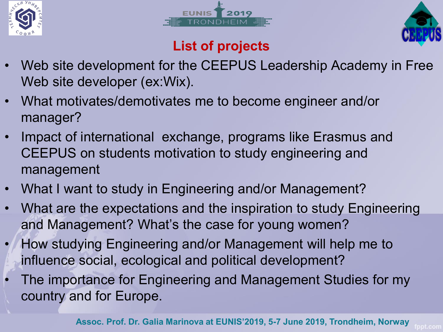





#### **List of projects**

- Web site development for the CEEPUS Leadership Academy in Free Web site developer (ex:Wix).
- What motivates/demotivates me to become engineer and/or manager?
- Impact of international exchange, programs like Erasmus and CEEPUS on students motivation to study engineering and management
- What I want to study in Engineering and/or Management?
- What are the expectations and the inspiration to study Engineering and Management? What's the case for young women?
- How studying Engineering and/or Management will help me to influence social, ecological and political development?
- The importance for Engineering and Management Studies for my country and for Europe.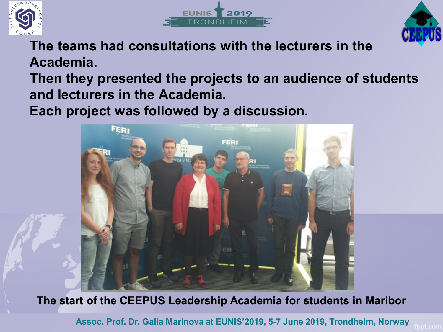





**The teams had consultations with the lecturers in the Academia.**

**Then they presented the projects to an audience of students and lecturers in the Academia.** 

**Each project was followed by a discussion.** 



**The start of the CEEPUS Leadership Academia for students in Maribor**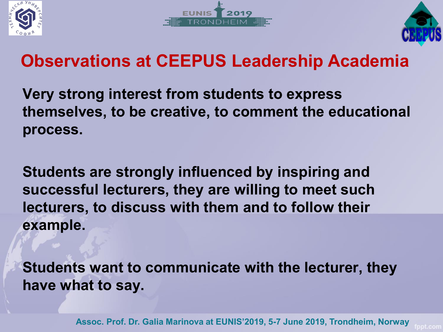





# **Observations at CEEPUS Leadership Academia**

**Very strong interest from students to express themselves, to be creative, to comment the educational process.** 

**Students are strongly influenced by inspiring and successful lecturers, they are willing to meet such lecturers, to discuss with them and to follow their example.** 

**Students want to communicate with the lecturer, they have what to say.** 

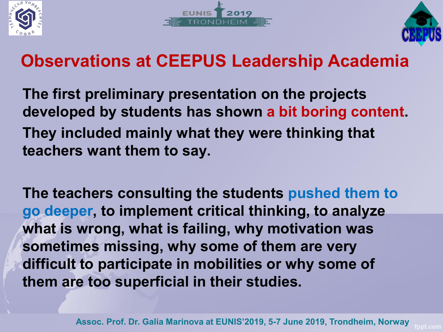





# **Observations at CEEPUS Leadership Academia**

**The first preliminary presentation on the projects developed by students has shown a bit boring content. They included mainly what they were thinking that teachers want them to say.** 

**The teachers consulting the students pushed them to go deeper, to implement critical thinking, to analyze what is wrong, what is failing, why motivation was sometimes missing, why some of them are very difficult to participate in mobilities or why some of them are too superficial in their studies.**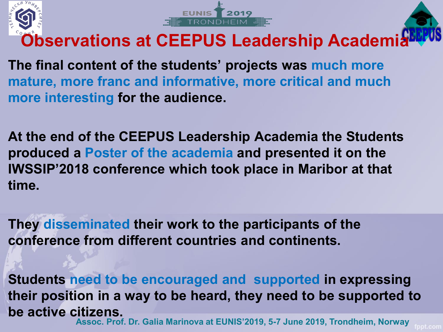





**Observations at CEEPUS Leadership Academ[ia](https://www.ceepus.info/default.aspx)**

**The final content of the students' projects was much more mature, more franc and informative, more critical and much more interesting for the audience.**

**At the end of the CEEPUS Leadership Academia the Students produced a Poster of the academia and presented it on the IWSSIP'2018 conference which took place in Maribor at that time.** 

**They disseminated their work to the participants of the conference from different countries and continents.** 

**Students need to be encouraged and supported in expressing their position in a way to be heard, they need to be supported to be active citizens. Assoc. Prof. Dr. Galia Marinova at EUNIS'2019, 5-7 June 2019, Trondheim, Norway**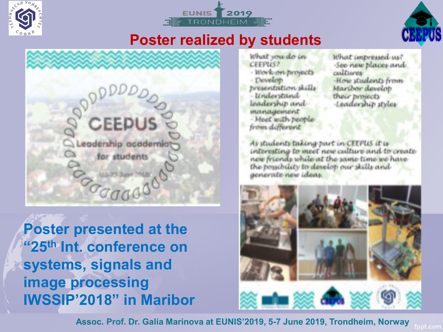





#### **Poster realized by students**



**Poster presented at the "25th Int. conference on systems, signals and image processing IWSSIP'2018" in Maribor**

What you do in **CEEPILS?** · Work-on-projects - Develop presentation skills - Understand leadership and management - Meet with people from different

What impressed us? -See new places and cultures. How students from Marther develop their brojecty Leadership styles

As students taking part in CEEPUS it is interesting to meet new culture and to create new friends while at the same time we have the possibility to develop our skills and generate new ideas

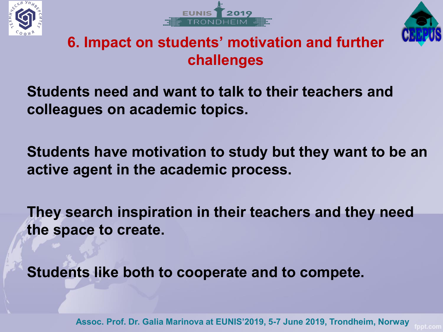





#### **6. Impact on students' motivation and further challenges**

**Students need and want to talk to their teachers and colleagues on academic topics.** 

**Students have motivation to study but they want to be an active agent in the academic process.** 

**They search inspiration in their teachers and they need the space to create.** 

**Students like both to cooperate and to compete.**

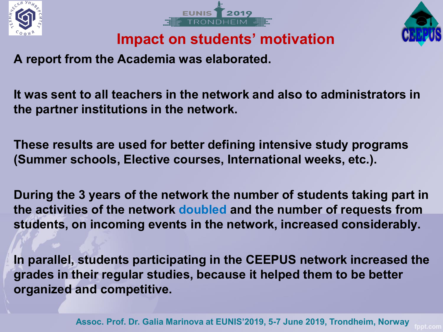





**Impact on students' motivation**

**A report from the Academia was elaborated.**

**It was sent to all teachers in the network and also to administrators in the partner institutions in the network.** 

**These results are used for better defining intensive study programs (Summer schools, Elective courses, International weeks, etc.).**

**During the 3 years of the network the number of students taking part in the activities of the network doubled and the number of requests from students, on incoming events in the network, increased considerably.** 

**In parallel, students participating in the CEEPUS network increased the grades in their regular studies, because it helped them to be better organized and competitive.**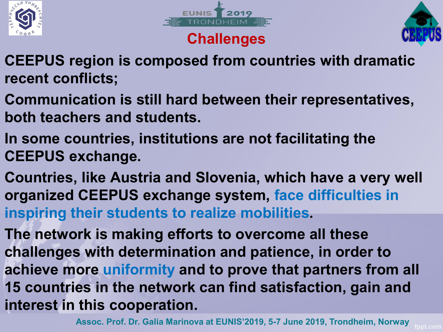



#### **Challenges**



- **CEEPUS region is composed from countries with dramatic recent conflicts;**
- **Communication is still hard between their representatives, both teachers and students.**
- **In some countries, institutions are not facilitating the CEEPUS exchange.**
- **Countries, like Austria and Slovenia, which have a very well organized CEEPUS exchange system, face difficulties in inspiring their students to realize mobilities.**
- **The network is making efforts to overcome all these challenges with determination and patience, in order to achieve more uniformity and to prove that partners from all 15 countries in the network can find satisfaction, gain and interest in this cooperation.**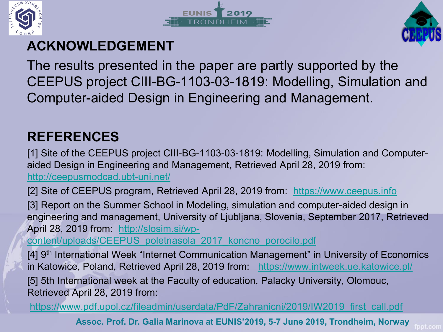





#### **ACKNOWLEDGEMENT**

The results presented in the paper are partly supported by the CEEPUS project CIII-BG-1103-03-1819: Modelling, Simulation and Computer-aided Design in Engineering and Management.

#### **REFERENCES**

[1] Site of the CEEPUS project CIII-BG-1103-03-1819: Modelling, Simulation and Computeraided Design in Engineering and Management, Retrieved April 28, 2019 from: <http://ceepusmodcad.ubt-uni.net/>

[2] Site of CEEPUS program, Retrieved April 28, 2019 from: [https://www.ceepus.info](https://www.ceepus.info/)

[3] Report on the Summer School in Modeling, simulation and computer-aided design in engineering and management, University of Ljubljana, Slovenia, September 2017, Retrieved April 28, 2019 from: http://slosim.si/wp-

[content/uploads/CEEPUS\\_poletnasola\\_2017\\_koncno\\_porocilo.pdf](http://slosim.si/wp-content/uploads/CEEPUS_poletnasola_2017_koncno_porocilo.pdf)

[4] 9th International Week "Internet Communication Management" in University of Economics in Katowice, Poland, Retrieved April 28, 2019 from: <https://www.intweek.ue.katowice.pl/>

[5] 5th International week at the Faculty of education, Palacky University, Olomouc, Retrieved April 28, 2019 from:

[https://www.pdf.upol.cz/fileadmin/userdata/PdF/Zahranicni/2019/IW2019\\_first\\_call.pdf](https://www.pdf.upol.cz/fileadmin/userdata/PdF/Zahranicni/2019/IW2019_first_call.pdf)